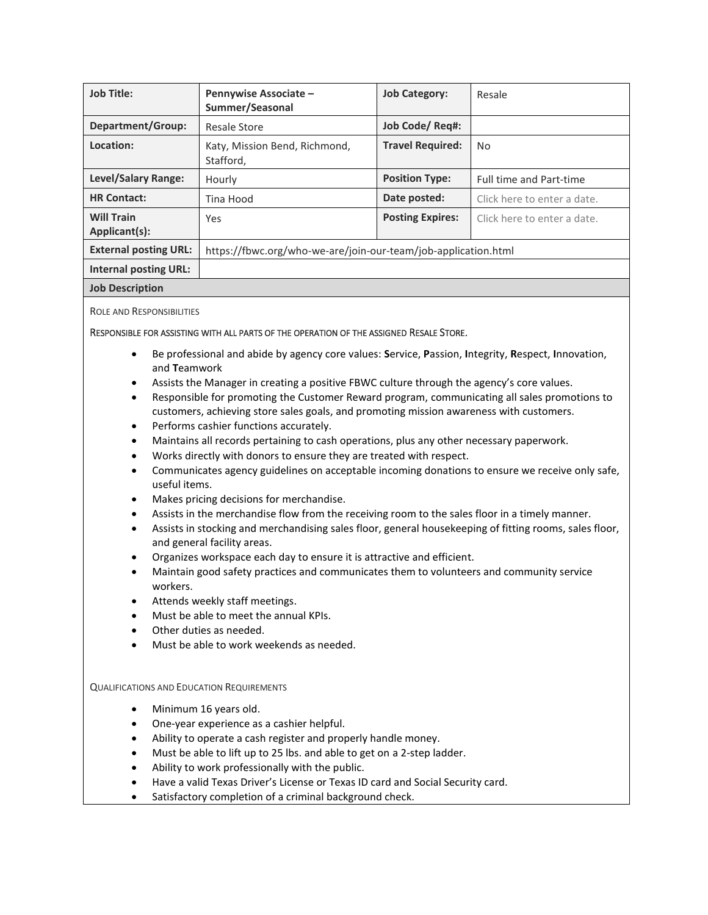| <b>Job Title:</b>                  | <b>Pennywise Associate -</b><br>Summer/Seasonal                | <b>Job Category:</b>    | Resale                         |
|------------------------------------|----------------------------------------------------------------|-------------------------|--------------------------------|
| Department/Group:                  | <b>Resale Store</b>                                            | Job Code/Req#:          |                                |
| Location:                          | Katy, Mission Bend, Richmond,<br>Stafford,                     | <b>Travel Required:</b> | N <sub>o</sub>                 |
| <b>Level/Salary Range:</b>         | Hourly                                                         | <b>Position Type:</b>   | <b>Full time and Part-time</b> |
| <b>HR Contact:</b>                 | Tina Hood                                                      | Date posted:            | Click here to enter a date.    |
| <b>Will Train</b><br>Applicant(s): | Yes                                                            | <b>Posting Expires:</b> | Click here to enter a date.    |
| <b>External posting URL:</b>       | https://fbwc.org/who-we-are/join-our-team/job-application.html |                         |                                |
| <b>Internal posting URL:</b>       |                                                                |                         |                                |
| <b>Job Description</b>             |                                                                |                         |                                |

ROLE AND RESPONSIBILITIES

## RESPONSIBLE FOR ASSISTING WITH ALL PARTS OF THE OPERATION OF THE ASSIGNED RESALE STORE.

- Be professional and abide by agency core values: **S**ervice, **P**assion, **I**ntegrity, **R**espect, **I**nnovation, and **T**eamwork
- Assists the Manager in creating a positive FBWC culture through the agency's core values.
- Responsible for promoting the Customer Reward program, communicating all sales promotions to customers, achieving store sales goals, and promoting mission awareness with customers.
- Performs cashier functions accurately.
- Maintains all records pertaining to cash operations, plus any other necessary paperwork.
- Works directly with donors to ensure they are treated with respect.
- Communicates agency guidelines on acceptable incoming donations to ensure we receive only safe, useful items.
- Makes pricing decisions for merchandise.
- Assists in the merchandise flow from the receiving room to the sales floor in a timely manner.
- Assists in stocking and merchandising sales floor, general housekeeping of fitting rooms, sales floor, and general facility areas.
- Organizes workspace each day to ensure it is attractive and efficient.
- Maintain good safety practices and communicates them to volunteers and community service workers.
- Attends weekly staff meetings.
- Must be able to meet the annual KPIs.
- Other duties as needed.
- Must be able to work weekends as needed.

## QUALIFICATIONS AND EDUCATION REQUIREMENTS

- Minimum 16 years old.
- One-year experience as a cashier helpful.
- Ability to operate a cash register and properly handle money.
- Must be able to lift up to 25 lbs. and able to get on a 2-step ladder.
- Ability to work professionally with the public.
- Have a valid Texas Driver's License or Texas ID card and Social Security card.
- Satisfactory completion of a criminal background check.